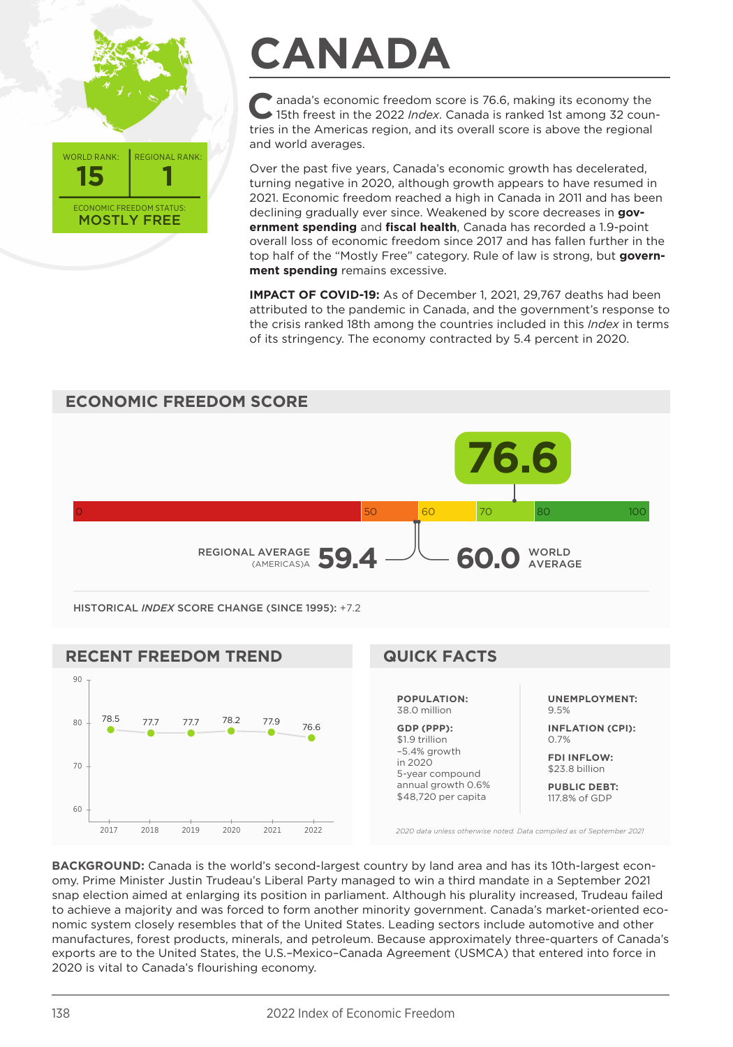

## **CANADA**

**C**anada's economic freedom score is 76.6, making its economy the 15th freest in the 2022 *Index*. Canada is ranked 1st among 32 countries in the Americas region, and its overall score is above the regional and world averages.

Over the past five years, Canada's economic growth has decelerated, turning negative in 2020, although growth appears to have resumed in 2021. Economic freedom reached a high in Canada in 2011 and has been declining gradually ever since. Weakened by score decreases in **government spending** and **fiscal health**, Canada has recorded a 1.9-point overall loss of economic freedom since 2017 and has fallen further in the top half of the "Mostly Free" category. Rule of law is strong, but **government spending** remains excessive.

**IMPACT OF COVID-19:** As of December 1, 2021, 29,767 deaths had been attributed to the pandemic in Canada, and the government's response to the crisis ranked 18th among the countries included in this *Index* in terms of its stringency. The economy contracted by 5.4 percent in 2020.



**PUBLIC DEBT:** 117.8% of GDP

*2020 data unless otherwise noted. Data compiled as of September 2021*

annual growth 0.6% \$48,720 per capita

**BACKGROUND:** Canada is the world's second-largest country by land area and has its 10th-largest economy. Prime Minister Justin Trudeau's Liberal Party managed to win a third mandate in a September 2021 snap election aimed at enlarging its position in parliament. Although his plurality increased, Trudeau failed to achieve a majority and was forced to form another minority government. Canada's market-oriented economic system closely resembles that of the United States. Leading sectors include automotive and other manufactures, forest products, minerals, and petroleum. Because approximately three-quarters of Canada's exports are to the United States, the U.S.–Mexico–Canada Agreement (USMCA) that entered into force in 2020 is vital to Canada's flourishing economy.

2017 2018 2019 2020 2021 2022

60